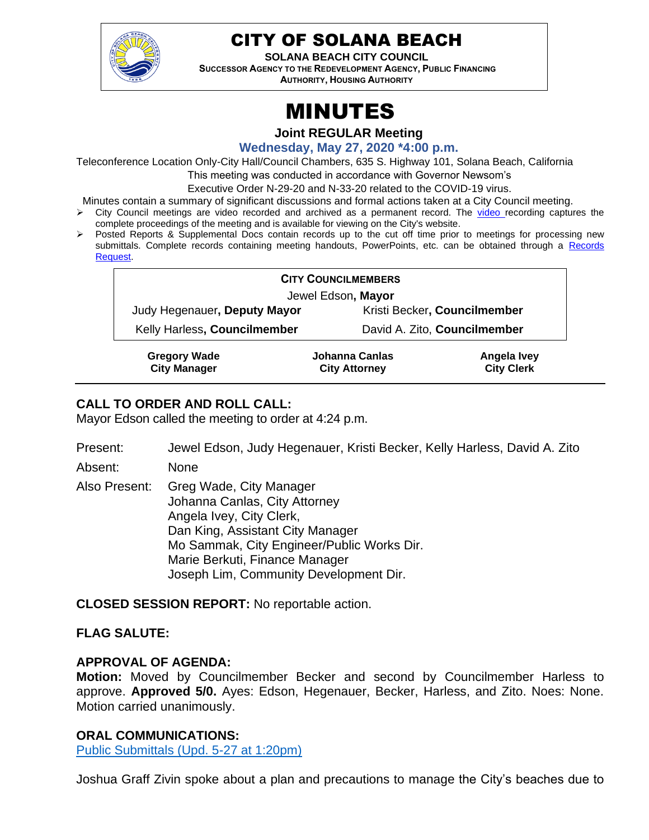

# CITY OF SOLANA BEACH

**SOLANA BEACH CITY COUNCIL SUCCESSOR AGENCY TO THE REDEVELOPMENT AGENCY, PUBLIC FINANCING AUTHORITY, HOUSING AUTHORITY** 

# MINUTES

**Joint REGULAR Meeting**

**Wednesday, May 27, 2020 \*4:00 p.m.**

Teleconference Location Only-City Hall/Council Chambers, 635 S. Highway 101, Solana Beach, California

This meeting was conducted in accordance with Governor Newsom's

Executive Order N-29-20 and N-33-20 related to the COVID-19 virus.

Minutes contain a summary of significant discussions and formal actions taken at a City Council meeting.

- ➢ City Council meetings are video recorded and archived as a permanent record. The [video r](https://solanabeach.12milesout.com/#page=1)ecording captures the complete proceedings of the meeting and is available for viewing on the City's website.
- ➢ Posted Reports & Supplemental Docs contain records up to the cut off time prior to meetings for processing new submittals. Complete records containing meeting handouts, PowerPoints, etc. can be obtained through a Records [Request.](http://www.ci.solana-beach.ca.us/index.asp?SEC=F5D45D10-70CE-4291-A27C-7BD633FC6742&Type=B_BASIC)

| <b>CITY COUNCILMEMBERS</b>   |                                                                                                                                                                                                                                                                                                                                                                                                                                                                                                 |
|------------------------------|-------------------------------------------------------------------------------------------------------------------------------------------------------------------------------------------------------------------------------------------------------------------------------------------------------------------------------------------------------------------------------------------------------------------------------------------------------------------------------------------------|
| Jewel Edson, Mayor           |                                                                                                                                                                                                                                                                                                                                                                                                                                                                                                 |
| Judy Hegenauer, Deputy Mayor | Kristi Becker, Councilmember                                                                                                                                                                                                                                                                                                                                                                                                                                                                    |
| Kelly Harless, Councilmember | David A. Zito, Councilmember                                                                                                                                                                                                                                                                                                                                                                                                                                                                    |
| $\sim$ $\sim$ $\sim$ $\sim$  | .<br>$\blacksquare$ $\blacksquare$ $\blacksquare$ $\blacksquare$ $\blacksquare$ $\blacksquare$ $\blacksquare$ $\blacksquare$ $\blacksquare$ $\blacksquare$ $\blacksquare$ $\blacksquare$ $\blacksquare$ $\blacksquare$ $\blacksquare$ $\blacksquare$ $\blacksquare$ $\blacksquare$ $\blacksquare$ $\blacksquare$ $\blacksquare$ $\blacksquare$ $\blacksquare$ $\blacksquare$ $\blacksquare$ $\blacksquare$ $\blacksquare$ $\blacksquare$ $\blacksquare$ $\blacksquare$ $\blacksquare$ $\blacks$ |

**Gregory Wade City Manager Johanna Canlas City Attorney Angela Ivey City Clerk**

# **CALL TO ORDER AND ROLL CALL:**

Mayor Edson called the meeting to order at 4:24 p.m.

- Present: Jewel Edson, Judy Hegenauer, Kristi Becker, Kelly Harless, David A. Zito
- Absent: None
- Also Present: Greg Wade, City Manager Johanna Canlas, City Attorney Angela Ivey, City Clerk, Dan King, Assistant City Manager Mo Sammak, City Engineer/Public Works Dir. Marie Berkuti, Finance Manager Joseph Lim, Community Development Dir.

**CLOSED SESSION REPORT:** No reportable action.

#### **FLAG SALUTE:**

#### **APPROVAL OF AGENDA:**

**Motion:** Moved by Councilmember Becker and second by Councilmember Harless to approve. **Approved 5/0.** Ayes: Edson, Hegenauer, Becker, Harless, and Zito. Noes: None. Motion carried unanimously.

#### **ORAL COMMUNICATIONS:**

[Public Submittals \(Upd. 5-27 at 1:20pm\)](https://solanabeach.govoffice3.com/vertical/Sites/%7B840804C2-F869-4904-9AE3-720581350CE7%7D/uploads/Public_Submittals_(upd._5-27_at_120pm)_-_O.pdf)

Joshua Graff Zivin spoke about a plan and precautions to manage the City's beaches due to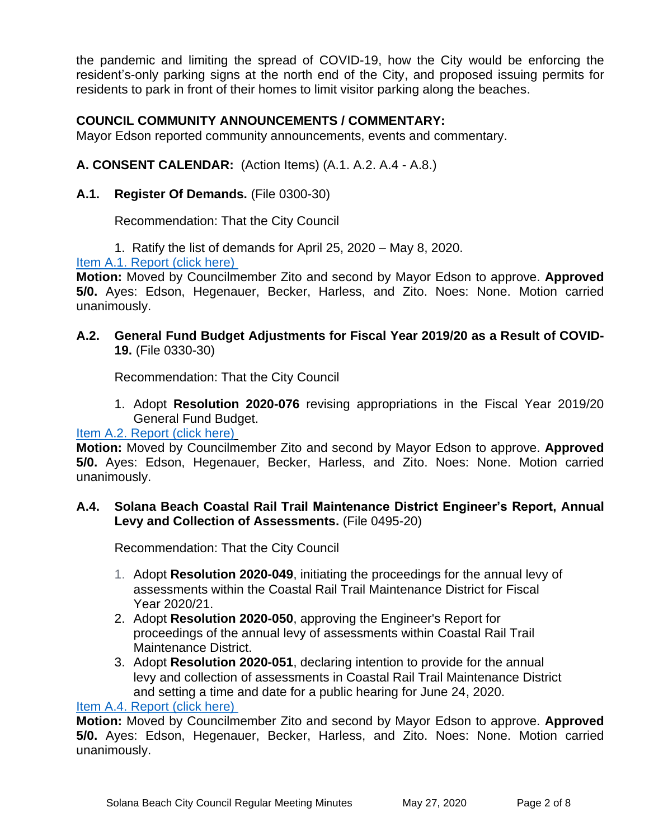the pandemic and limiting the spread of COVID-19, how the City would be enforcing the resident's-only parking signs at the north end of the City, and proposed issuing permits for residents to park in front of their homes to limit visitor parking along the beaches.

# **COUNCIL COMMUNITY ANNOUNCEMENTS / COMMENTARY:**

Mayor Edson reported community announcements, events and commentary.

#### **A. CONSENT CALENDAR:** (Action Items) (A.1. A.2. A.4 - A.8.)

**A.1. Register Of Demands.** (File 0300-30)

Recommendation: That the City Council

1. Ratify the list of demands for April 25, 2020 – May 8, 2020.

[Item A.1. Report \(click here\)](https://solanabeach.govoffice3.com/vertical/Sites/%7B840804C2-F869-4904-9AE3-720581350CE7%7D/uploads/Item_A.1._Report_(click_here)_05-27-20_-_O.pdf) 

**Motion:** Moved by Councilmember Zito and second by Mayor Edson to approve. **Approved 5/0.** Ayes: Edson, Hegenauer, Becker, Harless, and Zito. Noes: None. Motion carried unanimously.

#### **A.2. General Fund Budget Adjustments for Fiscal Year 2019/20 as a Result of COVID-19.** (File 0330-30)

Recommendation: That the City Council

1. Adopt **Resolution 2020-076** revising appropriations in the Fiscal Year 2019/20 General Fund Budget.

#### [Item A.2. Report \(click here\)](https://solanabeach.govoffice3.com/vertical/Sites/%7B840804C2-F869-4904-9AE3-720581350CE7%7D/uploads/Item_A.2._Report_(click_here)_05-27-20_-_O(1).pdf)

**Motion:** Moved by Councilmember Zito and second by Mayor Edson to approve. **Approved 5/0.** Ayes: Edson, Hegenauer, Becker, Harless, and Zito. Noes: None. Motion carried unanimously.

#### **A.4. Solana Beach Coastal Rail Trail Maintenance District Engineer's Report, Annual Levy and Collection of Assessments.** (File 0495-20)

Recommendation: That the City Council

- 1. Adopt **Resolution 2020-049**, initiating the proceedings for the annual levy of assessments within the Coastal Rail Trail Maintenance District for Fiscal Year 2020/21.
- 2. Adopt **Resolution 2020-050**, approving the Engineer's Report for proceedings of the annual levy of assessments within Coastal Rail Trail Maintenance District.
- 3. Adopt **Resolution 2020-051**, declaring intention to provide for the annual levy and collection of assessments in Coastal Rail Trail Maintenance District and setting a time and date for a public hearing for June 24, 2020.

#### [Item A.4. Report \(click here\)](https://solanabeach.govoffice3.com/vertical/Sites/%7B840804C2-F869-4904-9AE3-720581350CE7%7D/uploads/Item_A.4._Report_(click_here)_05-27-20.pdf)

**Motion:** Moved by Councilmember Zito and second by Mayor Edson to approve. **Approved 5/0.** Ayes: Edson, Hegenauer, Becker, Harless, and Zito. Noes: None. Motion carried unanimously.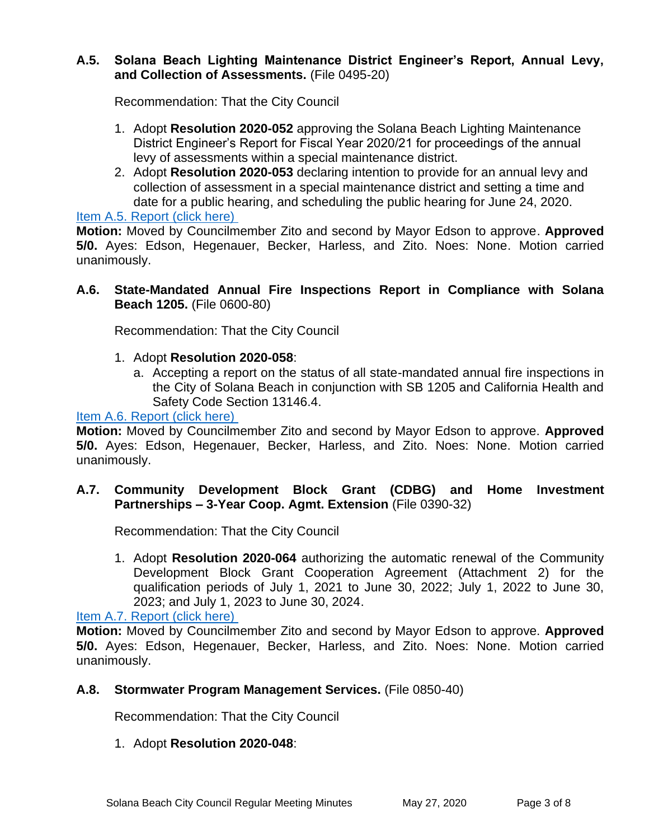#### **A.5. Solana Beach Lighting Maintenance District Engineer's Report, Annual Levy, and Collection of Assessments.** (File 0495-20)

Recommendation: That the City Council

- 1. Adopt **Resolution 2020-052** approving the Solana Beach Lighting Maintenance District Engineer's Report for Fiscal Year 2020/21 for proceedings of the annual levy of assessments within a special maintenance district.
- 2. Adopt **Resolution 2020-053** declaring intention to provide for an annual levy and collection of assessment in a special maintenance district and setting a time and date for a public hearing, and scheduling the public hearing for June 24, 2020.

#### [Item A.5. Report \(click here\)](https://solanabeach.govoffice3.com/vertical/Sites/%7B840804C2-F869-4904-9AE3-720581350CE7%7D/uploads/Item_A.5._Report_(click_here)_05-27-20_-_O.pdf)

**Motion:** Moved by Councilmember Zito and second by Mayor Edson to approve. **Approved 5/0.** Ayes: Edson, Hegenauer, Becker, Harless, and Zito. Noes: None. Motion carried unanimously.

#### **A.6. State-Mandated Annual Fire Inspections Report in Compliance with Solana Beach 1205.** (File 0600-80)

Recommendation: That the City Council

#### 1. Adopt **Resolution 2020-058**:

a. Accepting a report on the status of all state-mandated annual fire inspections in the City of Solana Beach in conjunction with SB 1205 and California Health and Safety Code Section 13146.4.

#### [Item A.6. Report \(click here\)](https://solanabeach.govoffice3.com/vertical/Sites/%7B840804C2-F869-4904-9AE3-720581350CE7%7D/uploads/Item_A.6._Report_(click_here)_05-27-20_-_O.pdf)

**Motion:** Moved by Councilmember Zito and second by Mayor Edson to approve. **Approved 5/0.** Ayes: Edson, Hegenauer, Becker, Harless, and Zito. Noes: None. Motion carried unanimously.

#### **A.7. Community Development Block Grant (CDBG) and Home Investment Partnerships – 3-Year Coop. Agmt. Extension** (File 0390-32)

Recommendation: That the City Council

1. Adopt **Resolution 2020-064** authorizing the automatic renewal of the Community Development Block Grant Cooperation Agreement (Attachment 2) for the qualification periods of July 1, 2021 to June 30, 2022; July 1, 2022 to June 30, 2023; and July 1, 2023 to June 30, 2024.

[Item A.7. Report \(click here\)](https://solanabeach.govoffice3.com/vertical/Sites/%7B840804C2-F869-4904-9AE3-720581350CE7%7D/uploads/Item_A.7._Report_(click_here)_05-27-20_-_O.pdf) 

**Motion:** Moved by Councilmember Zito and second by Mayor Edson to approve. **Approved 5/0.** Ayes: Edson, Hegenauer, Becker, Harless, and Zito. Noes: None. Motion carried unanimously.

#### **A.8. Stormwater Program Management Services.** (File 0850-40)

Recommendation: That the City Council

#### 1. Adopt **Resolution 2020-048**: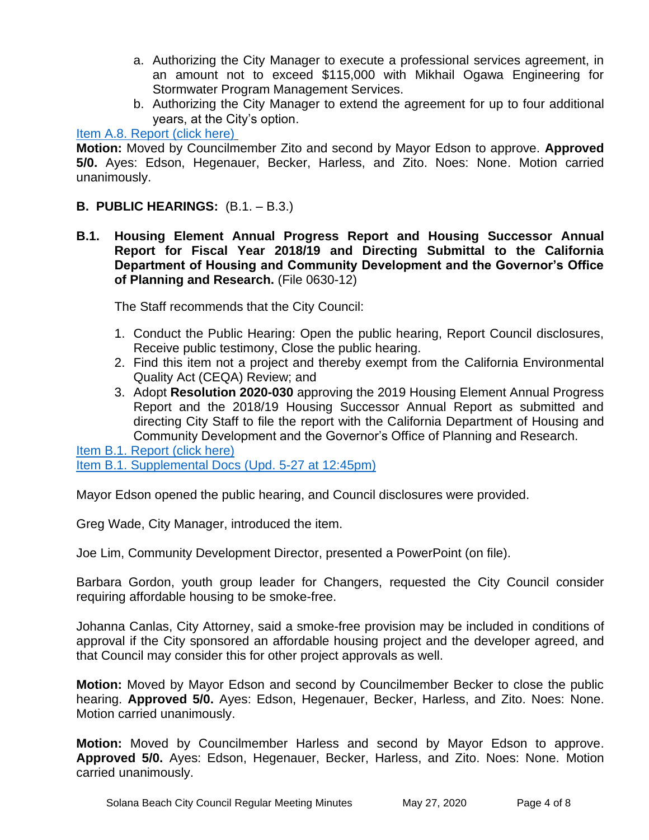- a. Authorizing the City Manager to execute a professional services agreement, in an amount not to exceed \$115,000 with Mikhail Ogawa Engineering for Stormwater Program Management Services.
- b. Authorizing the City Manager to extend the agreement for up to four additional years, at the City's option.

# [Item A.8. Report \(click here\)](https://solanabeach.govoffice3.com/vertical/Sites/%7B840804C2-F869-4904-9AE3-720581350CE7%7D/uploads/Item_A.8._Report_(click_here)_05-27-20_-_O.pdf)

**Motion:** Moved by Councilmember Zito and second by Mayor Edson to approve. **Approved 5/0.** Ayes: Edson, Hegenauer, Becker, Harless, and Zito. Noes: None. Motion carried unanimously.

#### **B. PUBLIC HEARINGS:** (B.1. – B.3.)

**B.1. Housing Element Annual Progress Report and Housing Successor Annual Report for Fiscal Year 2018/19 and Directing Submittal to the California Department of Housing and Community Development and the Governor's Office of Planning and Research.** (File 0630-12)

The Staff recommends that the City Council:

- 1. Conduct the Public Hearing: Open the public hearing, Report Council disclosures, Receive public testimony, Close the public hearing.
- 2. Find this item not a project and thereby exempt from the California Environmental Quality Act (CEQA) Review; and
- 3. Adopt **Resolution 2020-030** approving the 2019 Housing Element Annual Progress Report and the 2018/19 Housing Successor Annual Report as submitted and directing City Staff to file the report with the California Department of Housing and Community Development and the Governor's Office of Planning and Research.

Item B.1. [Report \(click here\)](https://solanabeach.govoffice3.com/vertical/Sites/%7B840804C2-F869-4904-9AE3-720581350CE7%7D/uploads/Item_B.1._Report_(click_here)_05-27-20_-_O_2.pdf) [Item B.1. Supplemental Docs \(Upd. 5-27 at 12:45pm\)](https://solanabeach.govoffice3.com/vertical/Sites/%7B840804C2-F869-4904-9AE3-720581350CE7%7D/uploads/Item_B.1._Supplemental_Docs_(upd._5-27_at_1245pm)_-_O.pdf)

Mayor Edson opened the public hearing, and Council disclosures were provided.

Greg Wade, City Manager, introduced the item.

Joe Lim, Community Development Director, presented a PowerPoint (on file).

Barbara Gordon, youth group leader for Changers, requested the City Council consider requiring affordable housing to be smoke-free.

Johanna Canlas, City Attorney, said a smoke-free provision may be included in conditions of approval if the City sponsored an affordable housing project and the developer agreed, and that Council may consider this for other project approvals as well.

**Motion:** Moved by Mayor Edson and second by Councilmember Becker to close the public hearing. **Approved 5/0.** Ayes: Edson, Hegenauer, Becker, Harless, and Zito. Noes: None. Motion carried unanimously.

**Motion:** Moved by Councilmember Harless and second by Mayor Edson to approve. **Approved 5/0.** Ayes: Edson, Hegenauer, Becker, Harless, and Zito. Noes: None. Motion carried unanimously.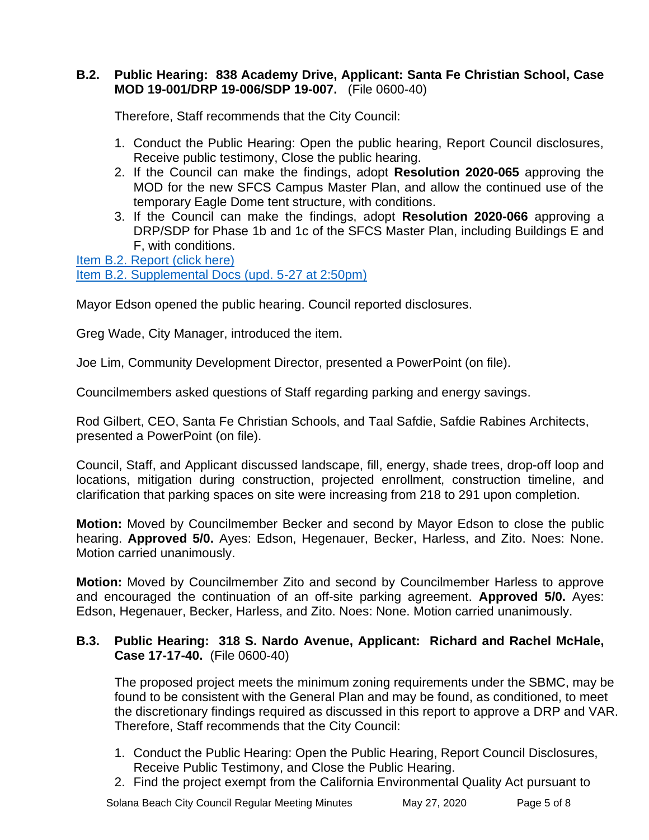#### **B.2. Public Hearing: 838 Academy Drive, Applicant: Santa Fe Christian School, Case MOD 19-001/DRP 19-006/SDP 19-007.** (File 0600-40)

Therefore, Staff recommends that the City Council:

- 1. Conduct the Public Hearing: Open the public hearing, Report Council disclosures, Receive public testimony, Close the public hearing.
- 2. If the Council can make the findings, adopt **Resolution 2020-065** approving the MOD for the new SFCS Campus Master Plan, and allow the continued use of the temporary Eagle Dome tent structure, with conditions.
- 3. If the Council can make the findings, adopt **Resolution 2020-066** approving a DRP/SDP for Phase 1b and 1c of the SFCS Master Plan, including Buildings E and F, with conditions.

[Item B.2. Report \(click here\)](https://www.dropbox.com/sh/ja0ncia1h1cywtk/AAAqBExKQ07yiqaPWy4pwqbOa?dl=0&preview=Item+B.2.+Report+(click+here)+05-27-20+-+O.pdf) [Item B.2. Supplemental Docs \(upd. 5-27 at 2:50pm\)](https://solanabeach.govoffice3.com/vertical/Sites/%7B840804C2-F869-4904-9AE3-720581350CE7%7D/uploads/Item_B.2._Supplemental_Docs_(updated_5-27_at_250pm)_-_O.pdf)

Mayor Edson opened the public hearing. Council reported disclosures.

Greg Wade, City Manager, introduced the item.

Joe Lim, Community Development Director, presented a PowerPoint (on file).

Councilmembers asked questions of Staff regarding parking and energy savings.

Rod Gilbert, CEO, Santa Fe Christian Schools, and Taal Safdie, Safdie Rabines Architects, presented a PowerPoint (on file).

Council, Staff, and Applicant discussed landscape, fill, energy, shade trees, drop-off loop and locations, mitigation during construction, projected enrollment, construction timeline, and clarification that parking spaces on site were increasing from 218 to 291 upon completion.

**Motion:** Moved by Councilmember Becker and second by Mayor Edson to close the public hearing. **Approved 5/0.** Ayes: Edson, Hegenauer, Becker, Harless, and Zito. Noes: None. Motion carried unanimously.

**Motion:** Moved by Councilmember Zito and second by Councilmember Harless to approve and encouraged the continuation of an off-site parking agreement. **Approved 5/0.** Ayes: Edson, Hegenauer, Becker, Harless, and Zito. Noes: None. Motion carried unanimously.

#### **B.3. Public Hearing: 318 S. Nardo Avenue, Applicant: Richard and Rachel McHale, Case 17-17-40.** (File 0600-40)

The proposed project meets the minimum zoning requirements under the SBMC, may be found to be consistent with the General Plan and may be found, as conditioned, to meet the discretionary findings required as discussed in this report to approve a DRP and VAR. Therefore, Staff recommends that the City Council:

- 1. Conduct the Public Hearing: Open the Public Hearing, Report Council Disclosures, Receive Public Testimony, and Close the Public Hearing.
- 2. Find the project exempt from the California Environmental Quality Act pursuant to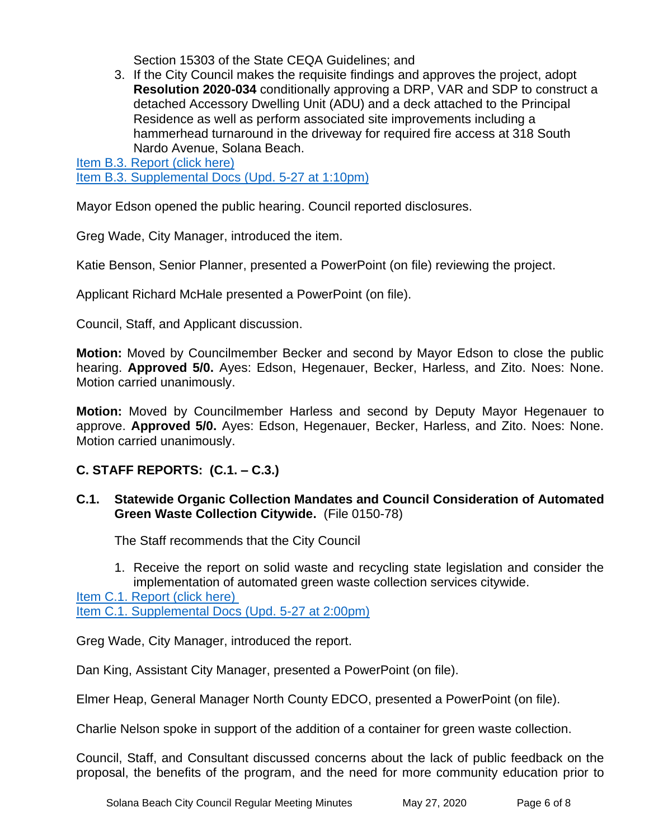Section 15303 of the State CEQA Guidelines; and

3. If the City Council makes the requisite findings and approves the project, adopt **Resolution 2020-034** conditionally approving a DRP, VAR and SDP to construct a detached Accessory Dwelling Unit (ADU) and a deck attached to the Principal Residence as well as perform associated site improvements including a hammerhead turnaround in the driveway for required fire access at 318 South Nardo Avenue, Solana Beach.

[Item B.3. Report \(click here\)](https://solanabeach.govoffice3.com/vertical/Sites/%7B840804C2-F869-4904-9AE3-720581350CE7%7D/uploads/Item_B.3._Report_(click_here)_05-27-20_-_Reduced(1).pdf) [Item B.3. Supplemental Docs \(Upd. 5-27 at 1:10pm\)](https://solanabeach.govoffice3.com/vertical/Sites/%7B840804C2-F869-4904-9AE3-720581350CE7%7D/uploads/Item_B.3._Supplemental_Docs_(upd._5-27_at_110pm)_-_O.pdf)

Mayor Edson opened the public hearing. Council reported disclosures.

Greg Wade, City Manager, introduced the item.

Katie Benson, Senior Planner, presented a PowerPoint (on file) reviewing the project.

Applicant Richard McHale presented a PowerPoint (on file).

Council, Staff, and Applicant discussion.

**Motion:** Moved by Councilmember Becker and second by Mayor Edson to close the public hearing. **Approved 5/0.** Ayes: Edson, Hegenauer, Becker, Harless, and Zito. Noes: None. Motion carried unanimously.

**Motion:** Moved by Councilmember Harless and second by Deputy Mayor Hegenauer to approve. **Approved 5/0.** Ayes: Edson, Hegenauer, Becker, Harless, and Zito. Noes: None. Motion carried unanimously.

# **C. STAFF REPORTS: (C.1. – C.3.)**

# **C.1. Statewide Organic Collection Mandates and Council Consideration of Automated Green Waste Collection Citywide.** (File 0150-78)

The Staff recommends that the City Council

1. Receive the report on solid waste and recycling state legislation and consider the implementation of automated green waste collection services citywide.

[Item C.1. Report \(click here\)](https://solanabeach.govoffice3.com/vertical/Sites/%7B840804C2-F869-4904-9AE3-720581350CE7%7D/uploads/Item_C.1._Report_(click_here)_05-27-20_-_R_-_O.pdf)  [Item C.1. Supplemental Docs \(Upd. 5-27 at 2:00pm\)](https://solanabeach.govoffice3.com/vertical/Sites/%7B840804C2-F869-4904-9AE3-720581350CE7%7D/uploads/Item_C.1._Supplemental_Docs_(upd._5-27_at_200pm)_-_O.pdf)

Greg Wade, City Manager, introduced the report.

Dan King, Assistant City Manager, presented a PowerPoint (on file).

Elmer Heap, General Manager North County EDCO, presented a PowerPoint (on file).

Charlie Nelson spoke in support of the addition of a container for green waste collection.

Council, Staff, and Consultant discussed concerns about the lack of public feedback on the proposal, the benefits of the program, and the need for more community education prior to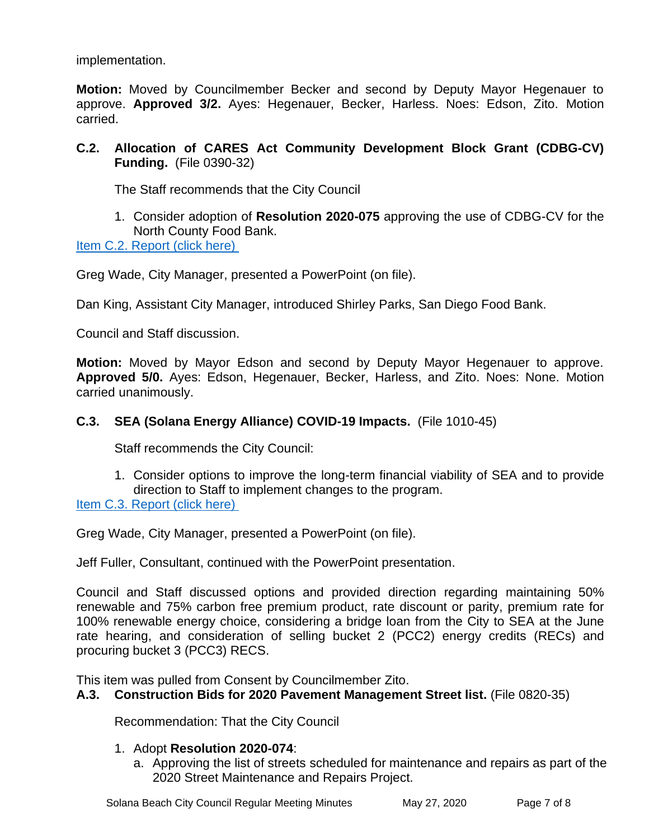implementation.

**Motion:** Moved by Councilmember Becker and second by Deputy Mayor Hegenauer to approve. **Approved 3/2.** Ayes: Hegenauer, Becker, Harless. Noes: Edson, Zito. Motion carried.

# **C.2. Allocation of CARES Act Community Development Block Grant (CDBG-CV) Funding.** (File 0390-32)

The Staff recommends that the City Council

# 1. Consider adoption of **Resolution 2020-075** approving the use of CDBG-CV for the North County Food Bank.

[Item C.2. Report \(click here\)](https://solanabeach.govoffice3.com/vertical/Sites/%7B840804C2-F869-4904-9AE3-720581350CE7%7D/uploads/Item_C.2._Report_(click_here)_05-27-20_-_O.pdf) 

Greg Wade, City Manager, presented a PowerPoint (on file).

Dan King, Assistant City Manager, introduced Shirley Parks, San Diego Food Bank.

Council and Staff discussion.

**Motion:** Moved by Mayor Edson and second by Deputy Mayor Hegenauer to approve. **Approved 5/0.** Ayes: Edson, Hegenauer, Becker, Harless, and Zito. Noes: None. Motion carried unanimously.

# **C.3. SEA (Solana Energy Alliance) COVID-19 Impacts.** (File 1010-45)

Staff recommends the City Council:

1. Consider options to improve the long-term financial viability of SEA and to provide direction to Staff to implement changes to the program.

[Item C.3. Report \(click here\)](https://solanabeach.govoffice3.com/vertical/Sites/%7B840804C2-F869-4904-9AE3-720581350CE7%7D/uploads/Item_C.3._Report_(click_here)_05-27-20_-_O.pdf)

Greg Wade, City Manager, presented a PowerPoint (on file).

Jeff Fuller, Consultant, continued with the PowerPoint presentation.

Council and Staff discussed options and provided direction regarding maintaining 50% renewable and 75% carbon free premium product, rate discount or parity, premium rate for 100% renewable energy choice, considering a bridge loan from the City to SEA at the June rate hearing, and consideration of selling bucket 2 (PCC2) energy credits (RECs) and procuring bucket 3 (PCC3) RECS.

This item was pulled from Consent by Councilmember Zito.

#### **A.3. Construction Bids for 2020 Pavement Management Street list.** (File 0820-35)

Recommendation: That the City Council

#### 1. Adopt **Resolution 2020-074**:

a. Approving the list of streets scheduled for maintenance and repairs as part of the 2020 Street Maintenance and Repairs Project.